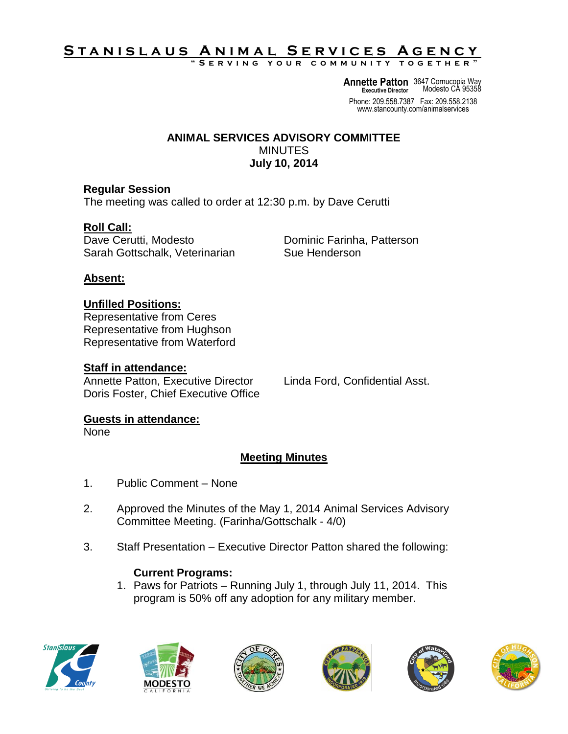# S T A N <u>I S L A U S A N I M A L SERVICES A GENCY</u>

**" S e r v i n g y o u r c o m m u n i t y t o g e t h e r "**

**Annette Patton** 3647 Cornucopia Way **Executive Director** Modesto CA 95358

Phone: 209.558.7387 Fax: 209.558.2138 www.stancounty.com/animalservices

#### **ANIMAL SERVICES ADVISORY COMMITTEE** MINUTES **July 10, 2014**

### **Regular Session**

The meeting was called to order at 12:30 p.m. by Dave Cerutti

# **Roll Call:**

Dave Cerutti, Modesto **Dominic Farinha, Patterson** Sarah Gottschalk, Veterinarian Sue Henderson

### **Absent:**

# **Unfilled Positions:**

Representative from Ceres Representative from Hughson Representative from Waterford

### **Staff in attendance:**

Annette Patton, Executive Director Linda Ford, Confidential Asst. Doris Foster, Chief Executive Office

# **Guests in attendance:**

None

# **Meeting Minutes**

- 1. Public Comment None
- 2. Approved the Minutes of the May 1, 2014 Animal Services Advisory Committee Meeting. (Farinha/Gottschalk - 4/0)
- 3. Staff Presentation Executive Director Patton shared the following:

### **Current Programs:**

1. Paws for Patriots – Running July 1, through July 11, 2014. This program is 50% off any adoption for any military member.